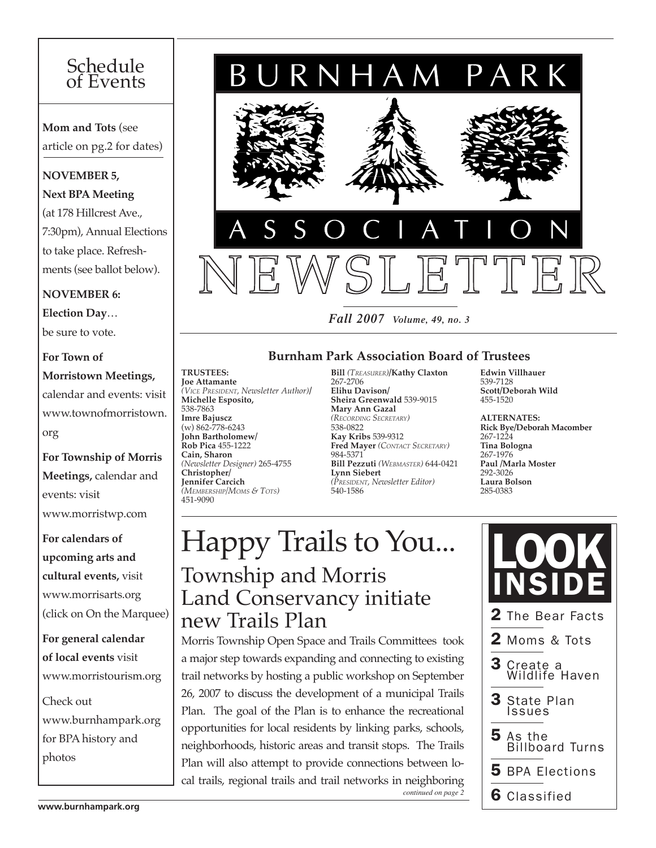# Schedule of Events

**Mom and Tots** (see article on pg.2 for dates)

#### **NOVEMBER 5,**

**Next BPA Meeting** 

(at 178 Hillcrest Ave., 7:30pm), Annual Elections to take place. Refreshments (see ballot below).

#### **NOVEMBER 6:**

**Election Day**… be sure to vote.

#### **For Town of Morristown Meetings,** calendar and events: visit www.townofmorristown. org

**For Township of Morris Meetings,** calendar and events: visit www.morristwp.com

### **For calendars of upcoming arts and cultural events,** visit www.morrisarts.org (click on On the Marquee)

**For general calendar of local events** visit www.morristourism.org

Check out www.burnhampark.org for BPA history and photos

*Fall 2007 Volume, 49, no. 3*

JRNHAM PARK

#### **Burnham Park Association Board of Trustees**

**Trustees: Joe Attamante**  *(Vice President, Newsletter Author)***/ Michelle Esposito,**  538-7863 **Imre Bajuscz**  (w) 862-778-6243 **John Bartholomew/ Rob Pica** 455-1222 **Cain, Sharon**  *(Newsletter Designer)* 265-4755 **Christopher/ Jennifer Carcich** *(Membership/Moms & Tots)* 451-9090

**Bill** *(Treasurer)***/Kathy Claxton**  267-2706 **Elihu Davison/ Sheira Greenwald** 539-9015 **Mary Ann Gazal**  *(Recording Secretary)* 538-0822 **Kay Kribs** 539-9312 **Fred Mayer** *(Contact Secretary)* 984-5371 **Bill Pezzuti** *(Webmaster)* 644-0421 **Lynn Siebert**  *(President, Newsletter Editor)*  540-1586

**Edwin Villhauer**  539-7128 **Scott/Deborah Wild** 455-1520

285-0383

**Alternates: Rick Bye/Deborah Macomber**  267-1224 **Tina Bologna**  267-1976 **Paul /Marla Moster** 292-3026 **Laura Bolson**

# $\vert$  Happy Trails to You... Township and Morris Land Conservancy initiate new Trails Plan

Morris Township Open Space and Trails Committees took a major step towards expanding and connecting to existing trail networks by hosting a public workshop on September 26, 2007 to discuss the development of a municipal Trails Plan. The goal of the Plan is to enhance the recreational opportunities for local residents by linking parks, schools, neighborhoods, historic areas and transit stops. The Trails Plan will also attempt to provide connections between local trails, regional trails and trail networks in neighboring *continued on page 2*

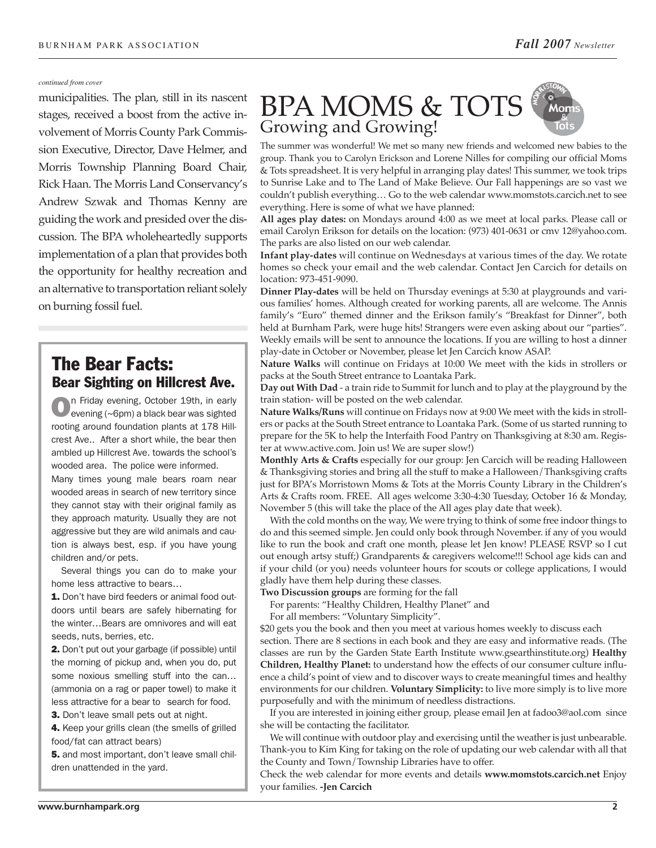#### *continued from cover*

municipalities. The plan, still in its nascent stages, received a boost from the active involvement of Morris County Park Commission Executive, Director, Dave Helmer, and Morris Township Planning Board Chair, Rick Haan. The Morris Land Conservancy's Andrew Szwak and Thomas Kenny are guiding the work and presided over the discussion. The BPA wholeheartedly supports implementation of a plan that provides both the opportunity for healthy recreation and an alternative to transportation reliant solely on burning fossil fuel.

#### The Bear Facts: Bear Sighting on Hillcrest Ave.

on Friday evening, October 19th, in early evening (~6pm) a black bear was sighted rooting around foundation plants at 178 Hillcrest Ave.. After a short while, the bear then ambled up Hillcrest Ave. towards the school's wooded area. The police were informed. Many times young male bears roam near

wooded areas in search of new territory since they cannot stay with their original family as they approach maturity. Usually they are not aggressive but they are wild animals and caution is always best, esp. if you have young children and/or pets.

Several things you can do to make your home less attractive to bears…

1. Don't have bird feeders or animal food outdoors until bears are safely hibernating for the winter…Bears are omnivores and will eat seeds, nuts, berries, etc.

2. Don't put out your garbage (if possible) until the morning of pickup and, when you do, put some noxious smelling stuff into the can… (ammonia on a rag or paper towel) to make it less attractive for a bear to search for food.

**3.** Don't leave small pets out at night.

4. Keep your grills clean (the smells of grilled food/fat can attract bears)

5. and most important, don't leave small children unattended in the yard.

#### BPA MOMS & TOTS Mon Growing and Growing!

The summer was wonderful! We met so many new friends and welcomed new babies to the group. Thank you to Carolyn Erickson and Lorene Nilles for compiling our official Moms & Tots spreadsheet. It is very helpful in arranging play dates! This summer, we took trips to Sunrise Lake and to The Land of Make Believe. Our Fall happenings are so vast we couldn't publish everything… Go to the web calendar www.momstots.carcich.net to see everything. Here is some of what we have planned:

**All ages play dates:** on Mondays around 4:00 as we meet at local parks. Please call or email Carolyn Erikson for details on the location: (973) 401-0631 or cmv 12@yahoo.com. The parks are also listed on our web calendar.

**Infant play-dates** will continue on Wednesdays at various times of the day. We rotate homes so check your email and the web calendar. Contact Jen Carcich for details on location: 973-451-9090.

**Dinner Play-dates** will be held on Thursday evenings at 5:30 at playgrounds and various families' homes. Although created for working parents, all are welcome. The Annis family's "Euro" themed dinner and the Erikson family's "Breakfast for Dinner", both held at Burnham Park, were huge hits! Strangers were even asking about our "parties". Weekly emails will be sent to announce the locations. If you are willing to host a dinner play-date in October or November, please let Jen Carcich know ASAP.

**Nature Walks** will continue on Fridays at 10:00 We meet with the kids in strollers or packs at the South Street entrance to Loantaka Park.

**Day out With Dad** - a train ride to Summit for lunch and to play at the playground by the train station- will be posted on the web calendar.

**Nature Walks/Runs** will continue on Fridays now at 9:00 We meet with the kids in strollers or packs at the South Street entrance to Loantaka Park. (Some of us started running to prepare for the 5K to help the Interfaith Food Pantry on Thanksgiving at 8:30 am. Register at www.active.com. Join us! We are super slow!)

**Monthly Arts & Crafts** especially for our group: Jen Carcich will be reading Halloween & Thanksgiving stories and bring all the stuff to make a Halloween/Thanksgiving crafts just for BPA's Morristown Moms & Tots at the Morris County Library in the Children's Arts & Crafts room. FREE. All ages welcome 3:30-4:30 Tuesday, October 16 & Monday, November 5 (this will take the place of the All ages play date that week).

With the cold months on the way, We were trying to think of some free indoor things to do and this seemed simple. Jen could only book through November. if any of you would like to run the book and craft one month, please let Jen know! PLEASE RSVP so I cut out enough artsy stuff;) Grandparents & caregivers welcome!!! School age kids can and if your child (or you) needs volunteer hours for scouts or college applications, I would gladly have them help during these classes.

**Two Discussion groups** are forming for the fall

For parents: "Healthy Children, Healthy Planet" and

For all members: "Voluntary Simplicity".

\$20 gets you the book and then you meet at various homes weekly to discuss each section. There are 8 sections in each book and they are easy and informative reads. (The classes are run by the Garden State Earth Institute www.gsearthinstitute.org) **Healthy Children, Healthy Planet:** to understand how the effects of our consumer culture influence a child's point of view and to discover ways to create meaningful times and healthy environments for our children. **Voluntary Simplicity:** to live more simply is to live more purposefully and with the minimum of needless distractions.

If you are interested in joining either group, please email Jen at fadoo3@aol.com since she will be contacting the facilitator.

We will continue with outdoor play and exercising until the weather is just unbearable. Thank-you to Kim King for taking on the role of updating our web calendar with all that the County and Town/Township Libraries have to offer.

Check the web calendar for more events and details **www.momstots.carcich.net** Enjoy your families. **-Jen Carcich**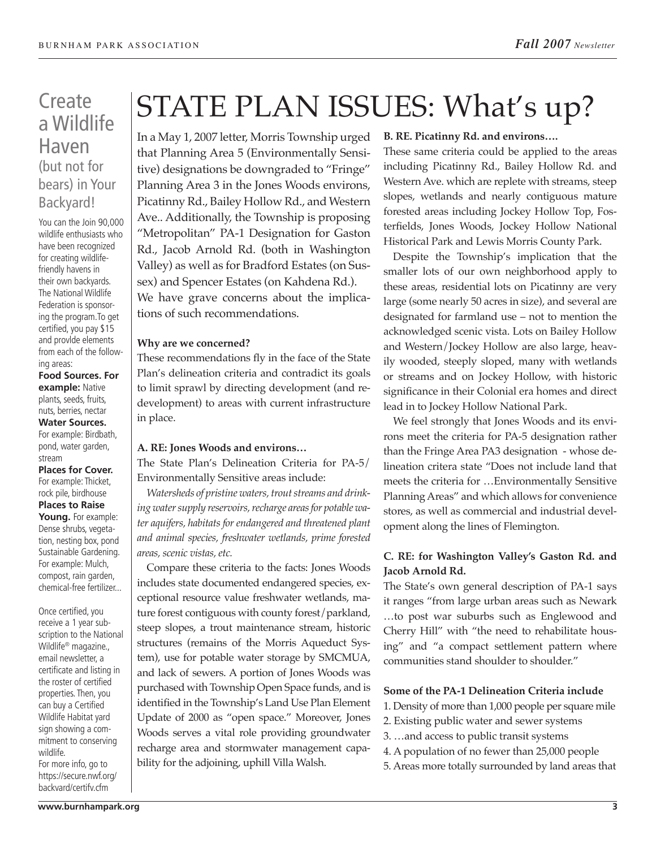## **Create** a Wildlife Haven (but not for bears) in Your Backyard!

You can the Join 90,000 wildlife enthusiasts who have been recognized for creating wildlifefriendly havens in their own backyards. The National Wildlife Federation is sponsoring the program.To get certified, you pay \$15 and provlde elements from each of the following areas:

**Food Sources. For example:** Native plants, seeds, fruits, nuts, berries, nectar **Water Sources.**  For example: Birdbath, pond, water garden,

stream **Places for Cover.**  For example: Thicket, rock pile, birdhouse **Places to Raise Young.** For example: Dense shrubs, vegetation, nesting box, pond Sustainable Gardening. For example: Mulch, compost, rain garden, chemical-free fertilizer...

Once certified, you receive a 1 year subscription to the National Wildlife® magazine., email newsletter, a certificate and listing in the roster of certified properties. Then, you can buy a Certified Wildlife Habitat yard sign showing a commitment to conserving wildlife.

For more info, go to https://secure.nwf.org/ backvard/certifv.cfm

# STATE PLAN ISSUES: What's up?

In a May 1, 2007 letter, Morris Township urged that Planning Area 5 (Environmentally Sensitive) designations be downgraded to "Fringe" Planning Area 3 in the Jones Woods environs, Picatinny Rd., Bailey Hollow Rd., and Western Ave.. Additionally, the Township is proposing "Metropolitan" PA-1 Designation for Gaston Rd., Jacob Arnold Rd. (both in Washington Valley) as well as for Bradford Estates (on Sussex) and Spencer Estates (on Kahdena Rd.). We have grave concerns about the implications of such recommendations.

#### **Why are we concerned?**

These recommendations fly in the face of the State Plan's delineation criteria and contradict its goals to limit sprawl by directing development (and redevelopment) to areas with current infrastructure in place.

#### **A. RE: Jones Woods and environs…**

The State Plan's Delineation Criteria for PA-5/ Environmentally Sensitive areas include:

*Watersheds of pristine waters, trout streams and drinking water supply reservoirs, recharge areas for potable water aquifers, habitats for endangered and threatened plant and animal species, freshwater wetlands, prime forested areas, scenic vistas, etc.*

Compare these criteria to the facts: Jones Woods includes state documented endangered species, exceptional resource value freshwater wetlands, mature forest contiguous with county forest/parkland, steep slopes, a trout maintenance stream, historic structures (remains of the Morris Aqueduct System), use for potable water storage by SMCMUA, and lack of sewers. A portion of Jones Woods was purchased with Township Open Space funds, and is identified in the Township's Land Use Plan Element Update of 2000 as "open space." Moreover, Jones Woods serves a vital role providing groundwater recharge area and stormwater management capability for the adjoining, uphill Villa Walsh.

#### **B. RE. Picatinny Rd. and environs….**

These same criteria could be applied to the areas including Picatinny Rd., Bailey Hollow Rd. and Western Ave. which are replete with streams, steep slopes, wetlands and nearly contiguous mature forested areas including Jockey Hollow Top, Fosterfields, Jones Woods, Jockey Hollow National Historical Park and Lewis Morris County Park.

Despite the Township's implication that the smaller lots of our own neighborhood apply to these areas, residential lots on Picatinny are very large (some nearly 50 acres in size), and several are designated for farmland use – not to mention the acknowledged scenic vista. Lots on Bailey Hollow and Western/Jockey Hollow are also large, heavily wooded, steeply sloped, many with wetlands or streams and on Jockey Hollow, with historic significance in their Colonial era homes and direct lead in to Jockey Hollow National Park.

We feel strongly that Jones Woods and its environs meet the criteria for PA-5 designation rather than the Fringe Area PA3 designation - whose delineation critera state "Does not include land that meets the criteria for …Environmentally Sensitive Planning Areas" and which allows for convenience stores, as well as commercial and industrial development along the lines of Flemington.

#### **C. RE: for Washington Valley's Gaston Rd. and Jacob Arnold Rd.**

The State's own general description of PA-1 says it ranges "from large urban areas such as Newark …to post war suburbs such as Englewood and Cherry Hill" with "the need to rehabilitate housing" and "a compact settlement pattern where communities stand shoulder to shoulder."

#### **Some of the PA-1 Delineation Criteria include**

- 1. Density of more than 1,000 people per square mile
- 2. Existing public water and sewer systems
- 3. …and access to public transit systems
- 4. A population of no fewer than 25,000 people
- 5. Areas more totally surrounded by land areas that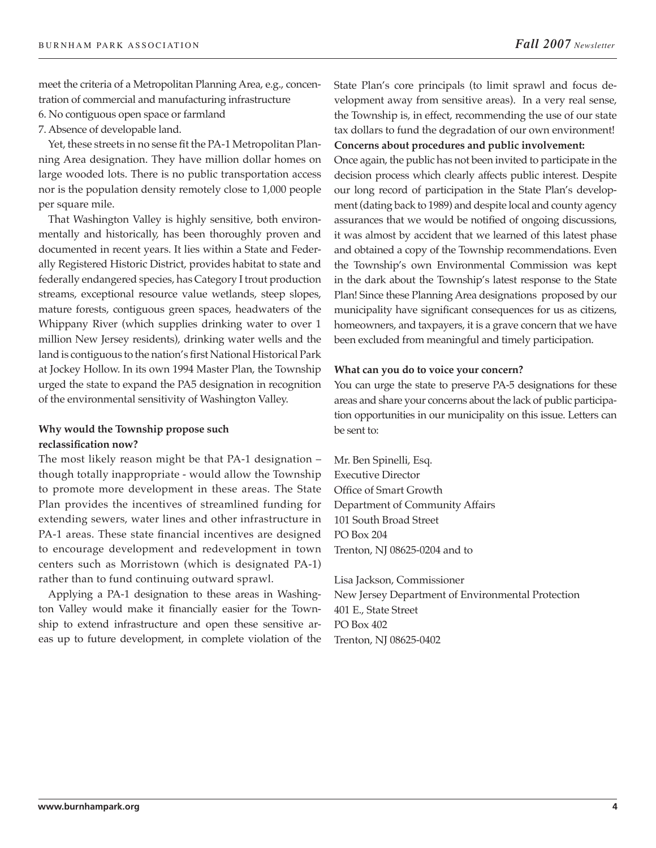meet the criteria of a Metropolitan Planning Area, e.g., concentration of commercial and manufacturing infrastructure

6. No contiguous open space or farmland

7. Absence of developable land.

Yet, these streets in no sense fit the PA-1 Metropolitan Planning Area designation. They have million dollar homes on large wooded lots. There is no public transportation access nor is the population density remotely close to 1,000 people per square mile.

That Washington Valley is highly sensitive, both environmentally and historically, has been thoroughly proven and documented in recent years. It lies within a State and Federally Registered Historic District, provides habitat to state and federally endangered species, has Category I trout production streams, exceptional resource value wetlands, steep slopes, mature forests, contiguous green spaces, headwaters of the Whippany River (which supplies drinking water to over 1 million New Jersey residents), drinking water wells and the land is contiguous to the nation's first National Historical Park at Jockey Hollow. In its own 1994 Master Plan, the Township urged the state to expand the PA5 designation in recognition of the environmental sensitivity of Washington Valley.

#### **Why would the Township propose such reclassification now?**

The most likely reason might be that PA-1 designation – though totally inappropriate - would allow the Township to promote more development in these areas. The State Plan provides the incentives of streamlined funding for extending sewers, water lines and other infrastructure in PA-1 areas. These state financial incentives are designed to encourage development and redevelopment in town centers such as Morristown (which is designated PA-1) rather than to fund continuing outward sprawl.

Applying a PA-1 designation to these areas in Washington Valley would make it financially easier for the Township to extend infrastructure and open these sensitive areas up to future development, in complete violation of the State Plan's core principals (to limit sprawl and focus development away from sensitive areas). In a very real sense, the Township is, in effect, recommending the use of our state tax dollars to fund the degradation of our own environment! **Concerns about procedures and public involvement:**

Once again, the public has not been invited to participate in the decision process which clearly affects public interest. Despite our long record of participation in the State Plan's development (dating back to 1989) and despite local and county agency assurances that we would be notified of ongoing discussions, it was almost by accident that we learned of this latest phase and obtained a copy of the Township recommendations. Even the Township's own Environmental Commission was kept in the dark about the Township's latest response to the State Plan! Since these Planning Area designations proposed by our municipality have significant consequences for us as citizens, homeowners, and taxpayers, it is a grave concern that we have been excluded from meaningful and timely participation.

#### **What can you do to voice your concern?**

You can urge the state to preserve PA-5 designations for these areas and share your concerns about the lack of public participation opportunities in our municipality on this issue. Letters can be sent to:

Mr. Ben Spinelli, Esq. Executive Director Office of Smart Growth Department of Community Affairs 101 South Broad Street PO Box 204 Trenton, NJ 08625-0204 and to

Lisa Jackson, Commissioner New Jersey Department of Environmental Protection 401 E., State Street PO Box 402 Trenton, NJ 08625-0402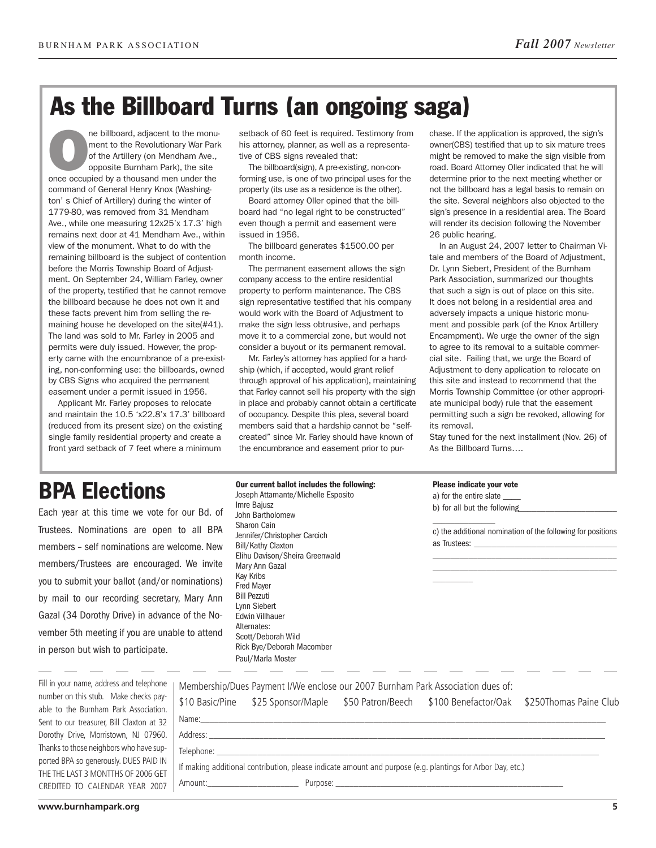# As the Billboard Turns (an ongoing saga)

ne billboard, adjacent to the monu-<br>
ment to the Revolutionary War Park<br>
of the Artillery (on Mendham Ave.,<br>
opposite Burnham Park), the site<br>
once occupied by a thousand men under the ment to the Revolutionary War Park of the Artillery (on Mendham Ave., opposite Burnham Park), the site command of General Henry Knox (Washington' s Chief of Artillery) during the winter of 1779-80, was removed from 31 Mendham Ave., while one measuring 12x25'x 17.3' high remains next door at 41 Mendham Ave., within view of the monument. What to do with the remaining billboard is the subject of contention before the Morris Township Board of Adjustment. On September 24, William Farley, owner of the property, testified that he cannot remove the billboard because he does not own it and these facts prevent him from selling the remaining house he developed on the site(#41). The land was sold to Mr. Farley in 2005 and permits were duly issued. However, the property came with the encumbrance of a pre-existing, non-conforming use: the billboards, owned by CBS Signs who acquired the permanent easement under a permit issued in 1956.

Applicant Mr. Farley proposes to relocate and maintain the 10.5 'x22.8'x 17.3' billboard (reduced from its present size) on the existing single family residential property and create a front yard setback of 7 feet where a minimum

setback of 60 feet is required. Testimony from his attorney, planner, as well as a representative of CBS signs revealed that:

The billboard(sign), A pre-existing, non-conforming use, is one of two principal uses for the property (its use as a residence is the other).

Board attorney Oller opined that the billboard had "no legal right to be constructed" even though a permit and easement were issued in 1956.

The billboard generates \$1500.00 per month income.

The permanent easement allows the sign company access to the entire residential property to perform maintenance. The CBS sign representative testified that his company would work with the Board of Adjustment to make the sign less obtrusive, and perhaps move it to a commercial zone, but would not consider a buyout or its permanent removal.

Mr. Farley's attorney has applied for a hardship (which, if accepted, would grant relief through approval of his application), maintaining that Farley cannot sell his property with the sign in place and probably cannot obtain a certificate of occupancy. Despite this plea, several board members said that a hardship cannot be "selfcreated" since Mr. Farley should have known of the encumbrance and easement prior to pur-

chase. If the application is approved, the sign's owner(CBS) testified that up to six mature trees might be removed to make the sign visible from road. Board Attorney Oller indicated that he will determine prior to the next meeting whether or not the billboard has a legal basis to remain on the site. Several neighbors also objected to the sign's presence in a residential area. The Board will render its decision following the November 26 public hearing.

In an August 24, 2007 letter to Chairman Vitale and members of the Board of Adjustment, Dr. Lynn Siebert, President of the Burnham Park Association, summarized our thoughts that such a sign is out of place on this site. It does not belong in a residential area and adversely impacts a unique historic monument and possible park (of the Knox Artillery Encampment). We urge the owner of the sign to agree to its removal to a suitable commercial site. Failing that, we urge the Board of Adjustment to deny application to relocate on this site and instead to recommend that the Morris Township Committee (or other appropriate municipal body) rule that the easement permitting such a sign be revoked, allowing for its removal.

Stay tuned for the next installment (Nov. 26) of As the Billboard Turns….

# BPA Elections

Each year at this time we vote for our Bd. of Trustees. Nominations are open to all BPA members – self nominations are welcome. New members/Trustees are encouraged. We invite you to submit your ballot (and/or nominations) by mail to our recording secretary, Mary Ann Gazal (34 Dorothy Drive) in advance of the November 5th meeting if you are unable to attend in person but wish to participate.

|  |  |  |  |  | Our current ballot includes the following: |
|--|--|--|--|--|--------------------------------------------|
|--|--|--|--|--|--------------------------------------------|

Joseph Attamante/Michelle Esposito Imre Bajusz John Bartholomew Sharon Cain Jennifer/Christopher Carcich Bill/Kathy Claxton Elihu Davison/Sheira Greenwald Mary Ann Gazal Kay Kribs Fred Mayer Bill Pezzuti Lynn Siebert Edwin Villhauer Alternates: Scott/Deborah Wild Rick Bye/Deborah Macomber Paul/Marla Moster

#### Please indicate your vote

a) for the entire slate \_\_\_\_ b) for all but the following

 $\overline{\phantom{a}}$ 

 $\overline{\phantom{a}}$ c) the additional nomination of the following for positions as Trustees: \_\_\_\_\_\_\_\_\_\_\_\_\_\_\_\_\_\_\_\_\_\_\_\_\_\_\_\_\_\_\_\_

\_\_\_\_\_\_\_\_\_\_\_\_\_\_\_\_\_\_\_\_\_\_\_\_\_\_\_\_\_\_\_\_\_\_\_\_\_\_\_\_\_ \_\_\_\_\_\_\_\_\_\_\_\_\_\_\_\_\_\_\_\_\_\_\_\_\_\_\_\_\_\_\_\_\_\_\_\_\_\_\_\_\_

| Thi in your hanne, address and telephone  |  |  |  |  |
|-------------------------------------------|--|--|--|--|
| number on this stub. Make checks pay-     |  |  |  |  |
| able to the Burnham Park Association.     |  |  |  |  |
| Sent to our treasurer. Bill Claxton at 32 |  |  |  |  |
| Dorothy Drive, Morristown, NJ 07960.      |  |  |  |  |
| Thanks to those neighbors who have sup-   |  |  |  |  |
| ported BPA so generously. DUES PAID IN    |  |  |  |  |
| THE THE LAST 3 MONTTHS OF 2006 GET        |  |  |  |  |
| CREDITED TO CALENDAR YEAR 2007            |  |  |  |  |
|                                           |  |  |  |  |

Fill in your name, address and telephone

|                | e   Membership/Dues Payment I/We enclose our 2007 Burnham Park Association dues of:<br>$\frac{1}{2}$ \$10 Basic/Pine \$25 Sponsor/Maple \$50 Patron/Beech \$100 Benefactor/Oak \$250Thomas Paine Club |
|----------------|-------------------------------------------------------------------------------------------------------------------------------------------------------------------------------------------------------|
| $\overline{2}$ |                                                                                                                                                                                                       |
|                |                                                                                                                                                                                                       |